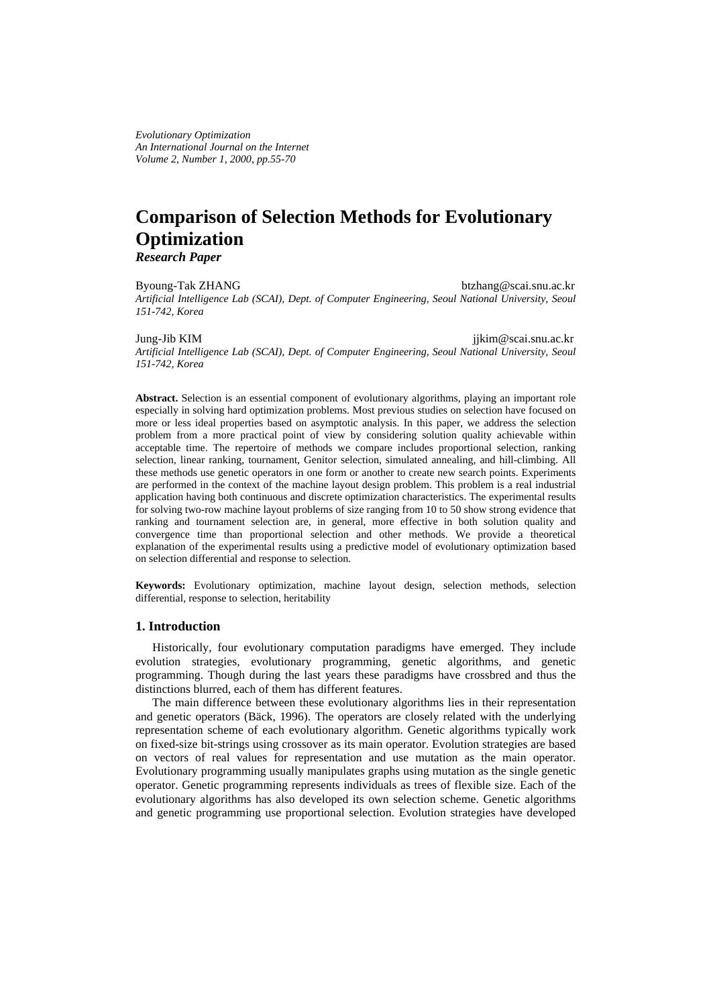*Evolutionary Optimization An International Journal on the Internet Volume 2, Number 1, 2000, pp.55-70*

# **Comparison of Selection Methods for Evolutionary Optimization** *Research Paper*

Byoung-Tak ZHANG btzhang@scai.snu.ac.kr *Artificial Intelligence Lab (SCAI), Dept. of Computer Engineering, Seoul National University, Seoul 151-742, Korea*

Jung-Jib KIM jjkim@scai.snu.ac.kr *Artificial Intelligence Lab (SCAI), Dept. of Computer Engineering, Seoul National University, Seoul 151-742, Korea*

**Abstract.** Selection is an essential component of evolutionary algorithms, playing an important role especially in solving hard optimization problems. Most previous studies on selection have focused on more or less ideal properties based on asymptotic analysis. In this paper, we address the selection problem from a more practical point of view by considering solution quality achievable within acceptable time. The repertoire of methods we compare includes proportional selection, ranking selection, linear ranking, tournament, Genitor selection, simulated annealing, and hill-climbing. All these methods use genetic operators in one form or another to create new search points. Experiments are performed in the context of the machine layout design problem. This problem is a real industrial application having both continuous and discrete optimization characteristics. The experimental results for solving two-row machine layout problems of size ranging from 10 to 50 show strong evidence that ranking and tournament selection are, in general, more effective in both solution quality and convergence time than proportional selection and other methods. We provide a theoretical explanation of the experimental results using a predictive model of evolutionary optimization based on selection differential and response to selection.

**Keywords:** Evolutionary optimization, machine layout design, selection methods, selection differential, response to selection, heritability

## **1. Introduction**

Historically, four evolutionary computation paradigms have emerged. They include evolution strategies, evolutionary programming, genetic algorithms, and genetic programming. Though during the last years these paradigms have crossbred and thus the distinctions blurred, each of them has different features.

The main difference between these evolutionary algorithms lies in their representation and genetic operators (Bäck, 1996). The operators are closely related with the underlying representation scheme of each evolutionary algorithm. Genetic algorithms typically work on fixed-size bit-strings using crossover as its main operator. Evolution strategies are based on vectors of real values for representation and use mutation as the main operator. Evolutionary programming usually manipulates graphs using mutation as the single genetic operator. Genetic programming represents individuals as trees of flexible size. Each of the evolutionary algorithms has also developed its own selection scheme. Genetic algorithms and genetic programming use proportional selection. Evolution strategies have developed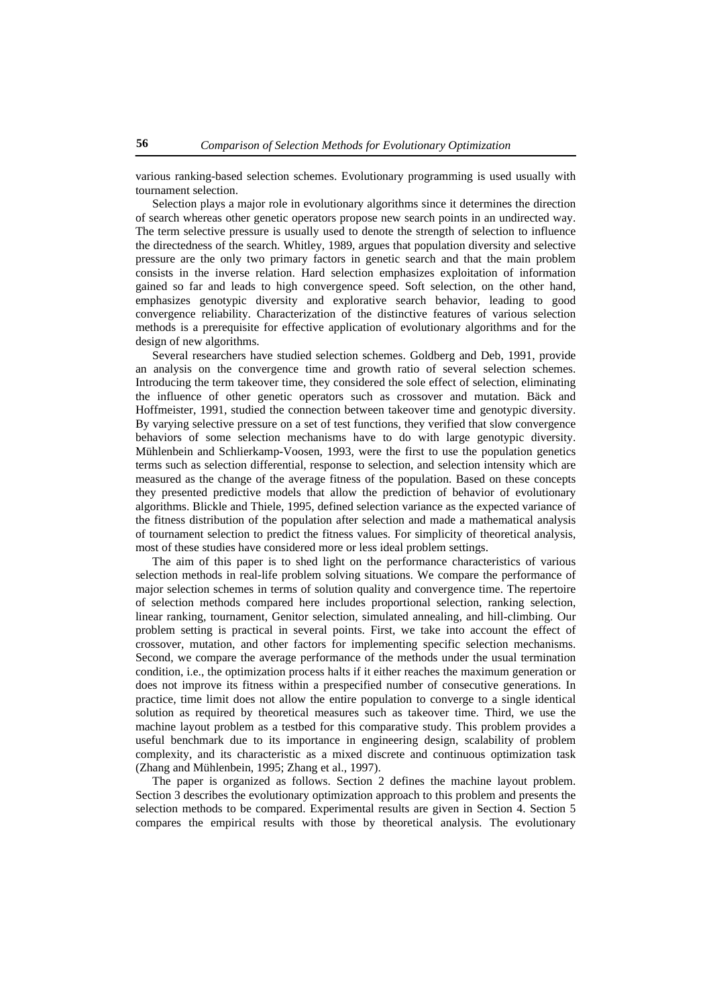various ranking-based selection schemes. Evolutionary programming is used usually with tournament selection.

Selection plays a major role in evolutionary algorithms since it determines the direction of search whereas other genetic operators propose new search points in an undirected way. The term selective pressure is usually used to denote the strength of selection to influence the directedness of the search. Whitley, 1989, argues that population diversity and selective pressure are the only two primary factors in genetic search and that the main problem consists in the inverse relation. Hard selection emphasizes exploitation of information gained so far and leads to high convergence speed. Soft selection, on the other hand, emphasizes genotypic diversity and explorative search behavior, leading to good convergence reliability. Characterization of the distinctive features of various selection methods is a prerequisite for effective application of evolutionary algorithms and for the design of new algorithms.

Several researchers have studied selection schemes. Goldberg and Deb, 1991, provide an analysis on the convergence time and growth ratio of several selection schemes. Introducing the term takeover time, they considered the sole effect of selection, eliminating the influence of other genetic operators such as crossover and mutation. Bäck and Hoffmeister, 1991, studied the connection between takeover time and genotypic diversity. By varying selective pressure on a set of test functions, they verified that slow convergence behaviors of some selection mechanisms have to do with large genotypic diversity. Mühlenbein and Schlierkamp-Voosen, 1993, were the first to use the population genetics terms such as selection differential, response to selection, and selection intensity which are measured as the change of the average fitness of the population. Based on these concepts they presented predictive models that allow the prediction of behavior of evolutionary algorithms. Blickle and Thiele, 1995, defined selection variance as the expected variance of the fitness distribution of the population after selection and made a mathematical analysis of tournament selection to predict the fitness values. For simplicity of theoretical analysis, most of these studies have considered more or less ideal problem settings.

The aim of this paper is to shed light on the performance characteristics of various selection methods in real-life problem solving situations. We compare the performance of major selection schemes in terms of solution quality and convergence time. The repertoire of selection methods compared here includes proportional selection, ranking selection, linear ranking, tournament, Genitor selection, simulated annealing, and hill-climbing. Our problem setting is practical in several points. First, we take into account the effect of crossover, mutation, and other factors for implementing specific selection mechanisms. Second, we compare the average performance of the methods under the usual termination condition, i.e., the optimization process halts if it either reaches the maximum generation or does not improve its fitness within a prespecified number of consecutive generations. In practice, time limit does not allow the entire population to converge to a single identical solution as required by theoretical measures such as takeover time. Third, we use the machine layout problem as a testbed for this comparative study. This problem provides a useful benchmark due to its importance in engineering design, scalability of problem complexity, and its characteristic as a mixed discrete and continuous optimization task (Zhang and Mühlenbein, 1995; Zhang et al., 1997).

The paper is organized as follows. Section 2 defines the machine layout problem. Section 3 describes the evolutionary optimization approach to this problem and presents the selection methods to be compared. Experimental results are given in Section 4. Section 5 compares the empirical results with those by theoretical analysis. The evolutionary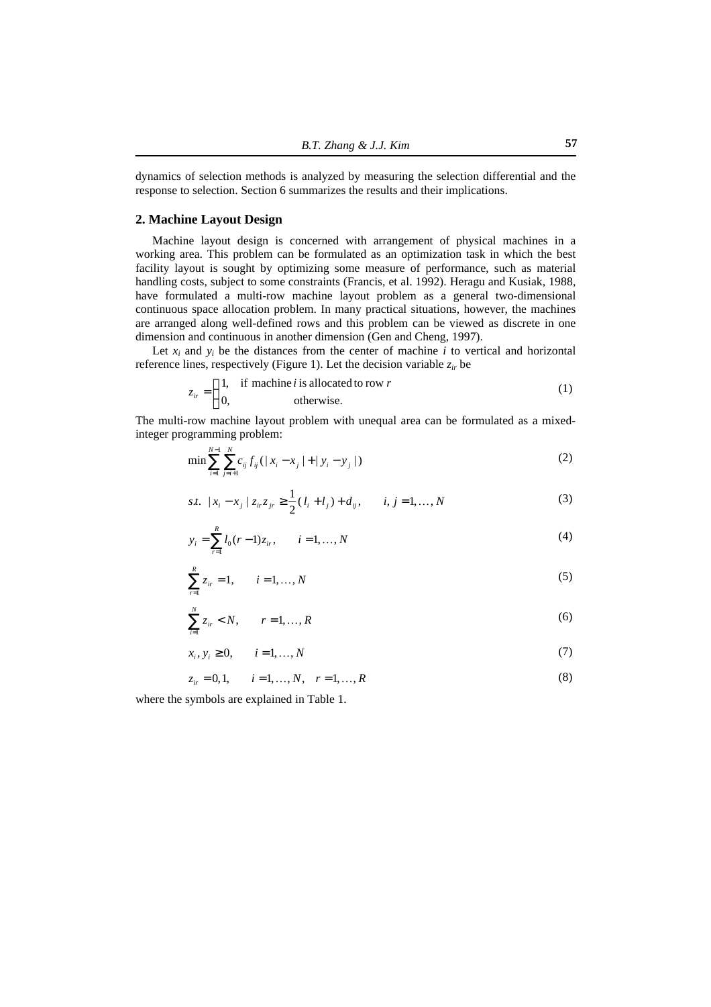dynamics of selection methods is analyzed by measuring the selection differential and the response to selection. Section 6 summarizes the results and their implications.

## **2. Machine Layout Design**

Machine layout design is concerned with arrangement of physical machines in a working area. This problem can be formulated as an optimization task in which the best facility layout is sought by optimizing some measure of performance, such as material handling costs, subject to some constraints (Francis, et al. 1992). Heragu and Kusiak, 1988, have formulated a multi-row machine layout problem as a general two-dimensional continuous space allocation problem. In many practical situations, however, the machines are arranged along well-defined rows and this problem can be viewed as discrete in one dimension and continuous in another dimension (Gen and Cheng, 1997).

Let  $x_i$  and  $y_i$  be the distances from the center of machine  $i$  to vertical and horizontal reference lines, respectively (Figure 1). Let the decision variable  $z_i$  be

$$
z_{ir} = \begin{cases} 1, & \text{if machine } i \text{ is allocated to row } r \\ 0, & \text{otherwise.} \end{cases}
$$
 (1)

The multi-row machine layout problem with unequal area can be formulated as a mixedinteger programming problem:

$$
\min \sum_{i=1}^{N-1} \sum_{j=i+1}^{N} c_{ij} f_{ij} (|x_i - x_j| + |y_i - y_j|)
$$
\n(2)

$$
s.t. \ |x_i - x_j| \, z_{ir} z_{jr} \geq \frac{1}{2} (l_i + l_j) + d_{ij}, \qquad i, j = 1, ..., N \tag{3}
$$

$$
y_i = \sum_{r=1}^{R} l_0(r-1)z_i, \qquad i = 1, ..., N
$$
 (4)

$$
\sum_{i=1}^{R} z_{ir} = 1, \qquad i = 1, ..., N
$$
 (5)

$$
\sum_{i=1}^{N} z_{ir} < N, \qquad r = 1, \dots, R \tag{6}
$$

$$
x_i, y_i \ge 0, \qquad i = 1, \dots, N \tag{7}
$$

 $z_i = 0, 1, \quad i = 1, \dots, N, \quad r = 1, \dots, R$  (8)

where the symbols are explained in Table 1.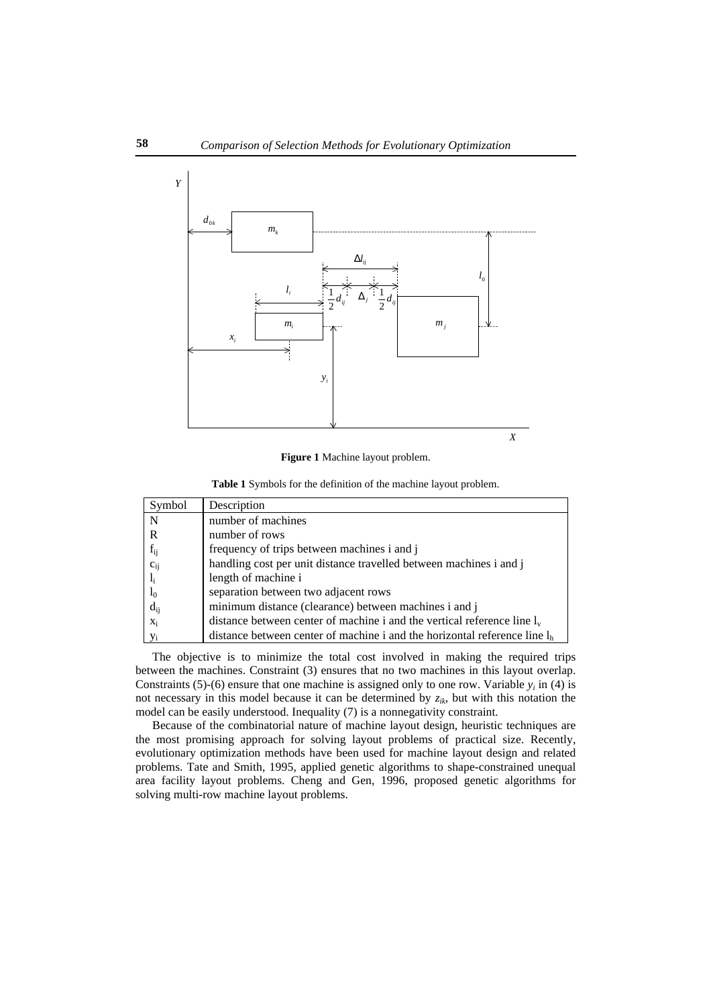

**Figure 1** Machine layout problem.

**Table 1** Symbols for the definition of the machine layout problem.

| Symbol         | Description                                                                 |
|----------------|-----------------------------------------------------------------------------|
| N              | number of machines                                                          |
| R              | number of rows                                                              |
| $f_{ij}$       | frequency of trips between machines i and j                                 |
| $c_{ij}$       | handling cost per unit distance travelled between machines i and j          |
| $l_i$          | length of machine i                                                         |
| $l_0$          | separation between two adjacent rows                                        |
| $d_{ij}$       | minimum distance (clearance) between machines i and j                       |
| $X_i$          | distance between center of machine i and the vertical reference line $l_v$  |
| V <sub>i</sub> | distance between center of machine i and the horizontal reference line $lh$ |

The objective is to minimize the total cost involved in making the required trips between the machines. Constraint (3) ensures that no two machines in this layout overlap. Constraints (5)-(6) ensure that one machine is assigned only to one row. Variable  $y_i$  in (4) is not necessary in this model because it can be determined by *zik*, but with this notation the model can be easily understood. Inequality (7) is a nonnegativity constraint.

Because of the combinatorial nature of machine layout design, heuristic techniques are the most promising approach for solving layout problems of practical size. Recently, evolutionary optimization methods have been used for machine layout design and related problems. Tate and Smith, 1995, applied genetic algorithms to shape-constrained unequal area facility layout problems. Cheng and Gen, 1996, proposed genetic algorithms for solving multi-row machine layout problems.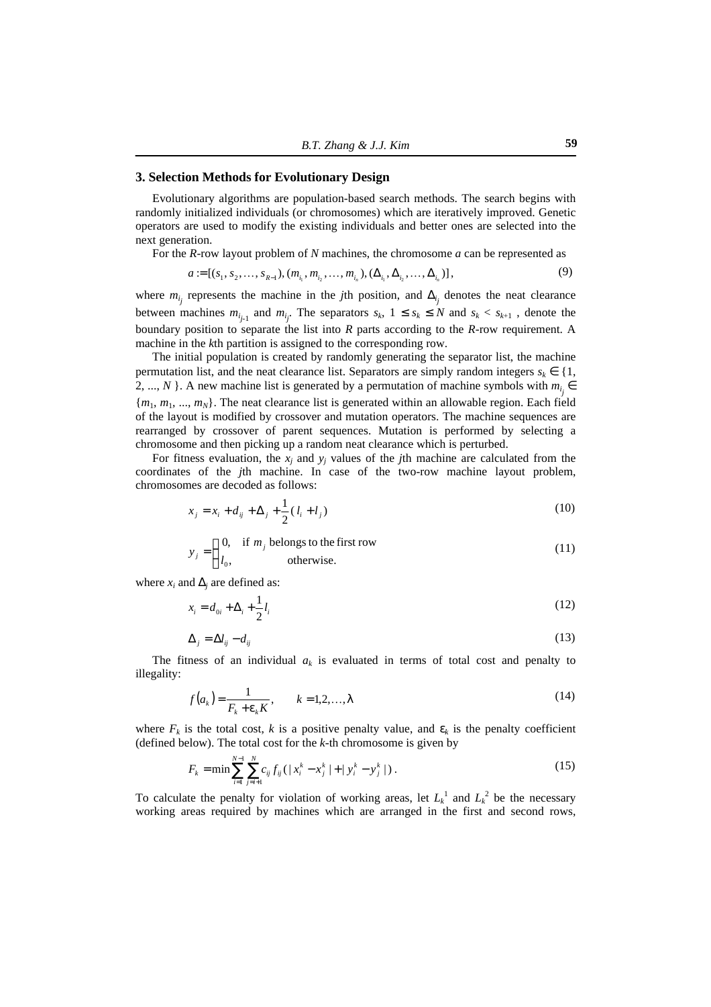## **3. Selection Methods for Evolutionary Design**

Evolutionary algorithms are population-based search methods. The search begins with randomly initialized individuals (or chromosomes) which are iteratively improved. Genetic operators are used to modify the existing individuals and better ones are selected into the next generation.

For the *R*-row layout problem of *N* machines, the chromosome *a* can be represented as

$$
a := [(s_1, s_2, \dots, s_{R-1}), (m_{i_1}, m_{i_2}, \dots, m_{i_n}), (\Delta_{i_1}, \Delta_{i_2}, \dots, \Delta_{i_n})],
$$
\n(9)

where  $m_{i_j}$  represents the machine in the *j*th position, and  $\Delta_{i_j}$  denotes the neat clearance between machines  $m_{i_{j-1}}$  and  $m_{i_j}$ . The separators  $s_k$ ,  $1 \leq s_k \leq N$  and  $s_k < s_{k+1}$ , denote the boundary position to separate the list into *R* parts according to the *R*-row requirement. A machine in the *k*th partition is assigned to the corresponding row.

The initial population is created by randomly generating the separator list, the machine permutation list, and the neat clearance list. Separators are simply random integers  $s_k \in \{1,$ 2, ..., *N* }. A new machine list is generated by a permutation of machine symbols with  $m_{i_j} \in$ {*m*1, *m*1, ..., *mN*}. The neat clearance list is generated within an allowable region. Each field of the layout is modified by crossover and mutation operators. The machine sequences are rearranged by crossover of parent sequences. Mutation is performed by selecting a chromosome and then picking up a random neat clearance which is perturbed.

For fitness evaluation, the  $x_j$  and  $y_j$  values of the *j*th machine are calculated from the coordinates of the *j*th machine. In case of the two-row machine layout problem, chromosomes are decoded as follows:

$$
x_j = x_i + d_{ij} + \Delta_j + \frac{1}{2}(l_i + l_j)
$$
\n(10)

$$
y_j = \begin{cases} 0, & \text{if } m_j \text{ belongs to the first row} \\ l_0, & \text{otherwise.} \end{cases}
$$
 (11)

where  $x_i$  and  $\Delta_j$  are defined as:

$$
x_i = d_{0i} + \Delta_i + \frac{1}{2}l_i
$$
\n(12)

$$
\Delta_j = \Delta l_{ij} - d_{ij} \tag{13}
$$

The fitness of an individual  $a_k$  is evaluated in terms of total cost and penalty to illegality:

$$
f(a_k) = \frac{1}{F_k + \mathbf{e}_k K}, \qquad k = 1, 2, \dots, I
$$
\n<sup>(14)</sup>

where  $F_k$  is the total cost, *k* is a positive penalty value, and  $e_k$  is the penalty coefficient (defined below). The total cost for the *k*-th chromosome is given by

$$
F_k = \min \sum_{i=1}^{N-1} \sum_{j=i+1}^{N} c_{ij} f_{ij} (|x_i^k - x_j^k| + |y_i^k - y_j^k|).
$$
 (15)

To calculate the penalty for violation of working areas, let  $L_k^1$  and  $L_k^2$  be the necessary working areas required by machines which are arranged in the first and second rows,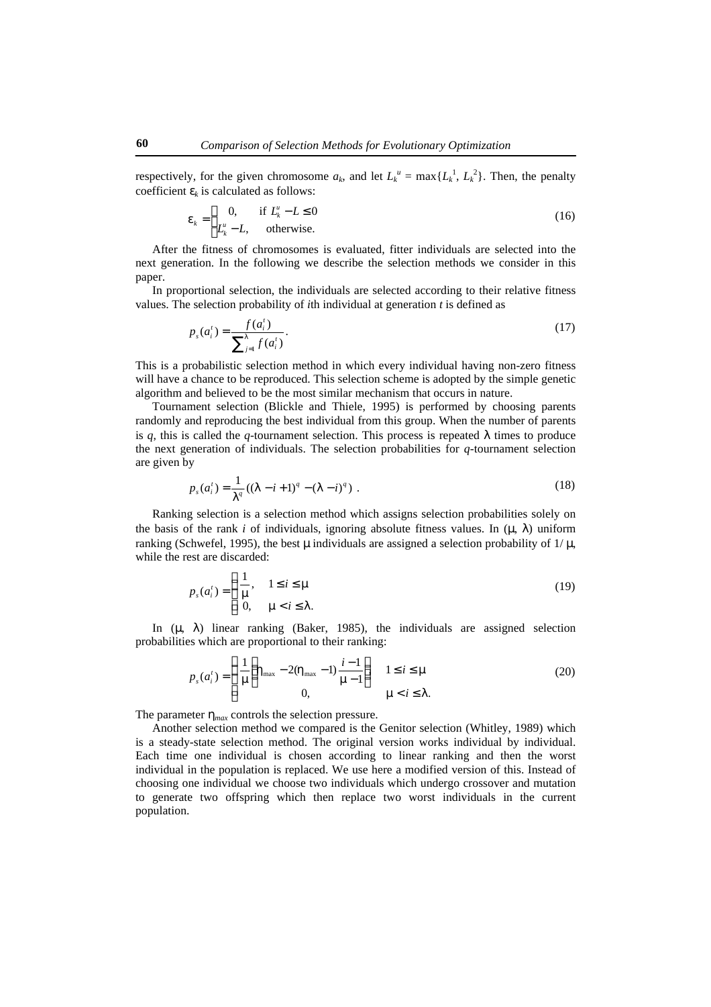respectively, for the given chromosome  $a_k$ , and let  $L_k^u = \max\{L_k^1, L_k^2\}$ . Then, the penalty coefficient  $e_k$  is calculated as follows:

$$
\mathbf{e}_k = \begin{cases} 0, & \text{if } L_k^u - L \le 0 \\ L_k^u - L, & \text{otherwise.} \end{cases} \tag{16}
$$

After the fitness of chromosomes is evaluated, fitter individuals are selected into the next generation. In the following we describe the selection methods we consider in this paper.

In proportional selection, the individuals are selected according to their relative fitness values. The selection probability of *i*th individual at generation *t* is defined as

$$
p_s(a_i^t) = \frac{f(a_i^t)}{\sum_{j=1}^l f(a_i^t)}.
$$
\n(17)

This is a probabilistic selection method in which every individual having non-zero fitness will have a chance to be reproduced. This selection scheme is adopted by the simple genetic algorithm and believed to be the most similar mechanism that occurs in nature.

Tournament selection (Blickle and Thiele, 1995) is performed by choosing parents randomly and reproducing the best individual from this group. When the number of parents is  $q$ , this is called the  $q$ -tournament selection. This process is repeated  $\bf{l}$  times to produce the next generation of individuals. The selection probabilities for *q*-tournament selection are given by

$$
p_s(a_i^t) = \frac{1}{I^q}((I - i + 1)^q - (I - i)^q) \tag{18}
$$

Ranking selection is a selection method which assigns selection probabilities solely on the basis of the rank *i* of individuals, ignoring absolute fitness values. In  $(\mathbf{m} \mathbf{I})$  uniform ranking (Schwefel, 1995), the best **m** individuals are assigned a selection probability of 1/ **m**, while the rest are discarded:

$$
p_s(a_i^t) = \begin{cases} \frac{1}{m}, & 1 \le i \le m \\ 0, & m < i \le l. \end{cases}
$$
 (19)

In (*m*, *l*) linear ranking (Baker, 1985), the individuals are assigned selection probabilities which are proportional to their ranking:

$$
p_s(a_i^t) = \begin{cases} \frac{1}{m} \left( h_{\text{max}} - 2(h_{\text{max}} - 1) \frac{i - 1}{m - 1} \right) & 1 \le i \le m \\ 0, & m < i \le 1. \end{cases}
$$
 (20)

The parameter  $h_{max}$  controls the selection pressure.

Another selection method we compared is the Genitor selection (Whitley, 1989) which is a steady-state selection method. The original version works individual by individual. Each time one individual is chosen according to linear ranking and then the worst individual in the population is replaced. We use here a modified version of this. Instead of choosing one individual we choose two individuals which undergo crossover and mutation to generate two offspring which then replace two worst individuals in the current population.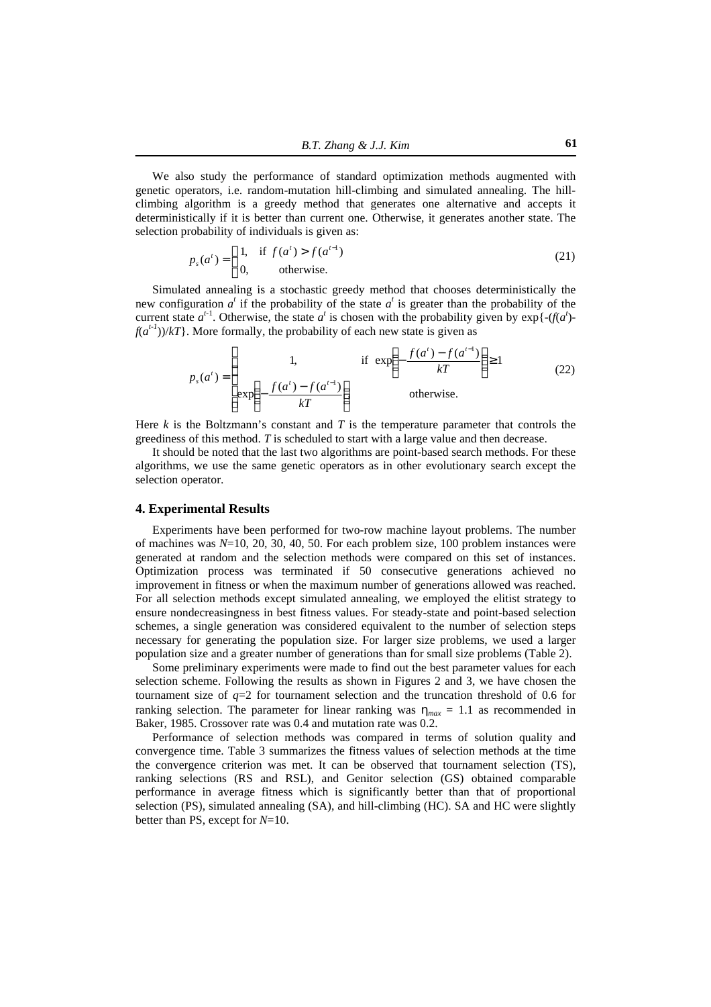We also study the performance of standard optimization methods augmented with genetic operators, i.e. random-mutation hill-climbing and simulated annealing. The hillclimbing algorithm is a greedy method that generates one alternative and accepts it deterministically if it is better than current one. Otherwise, it generates another state. The selection probability of individuals is given as:

$$
p_s(a^t) = \begin{cases} 1, & \text{if } f(a^t) > f(a^{t-1}) \\ 0, & \text{otherwise.} \end{cases} \tag{21}
$$

Simulated annealing is a stochastic greedy method that chooses deterministically the new configuration  $a^t$  if the probability of the state  $a^t$  is greater than the probability of the current state  $a^{t-1}$ . Otherwise, the state  $a^t$  is chosen with the probability given by  $\exp\{-\frac{f}{a^t}\}$  $f(a^{t-1})/kT$ . More formally, the probability of each new state is given as

$$
p_s(a^t) = \begin{cases} 1, & \text{if } \exp\left(-\frac{f(a^t) - f(a^{t-1})}{kT}\right) \ge 1\\ \exp\left(-\frac{f(a^t) - f(a^{t-1})}{kT}\right) & \text{otherwise.} \end{cases}
$$
(22)

Here  $k$  is the Boltzmann's constant and  $T$  is the temperature parameter that controls the greediness of this method. *T* is scheduled to start with a large value and then decrease.

It should be noted that the last two algorithms are point-based search methods. For these algorithms, we use the same genetic operators as in other evolutionary search except the selection operator.

#### **4. Experimental Results**

Experiments have been performed for two-row machine layout problems. The number of machines was *N*=10, 20, 30, 40, 50. For each problem size, 100 problem instances were generated at random and the selection methods were compared on this set of instances. Optimization process was terminated if 50 consecutive generations achieved no improvement in fitness or when the maximum number of generations allowed was reached. For all selection methods except simulated annealing, we employed the elitist strategy to ensure nondecreasingness in best fitness values. For steady-state and point-based selection schemes, a single generation was considered equivalent to the number of selection steps necessary for generating the population size. For larger size problems, we used a larger population size and a greater number of generations than for small size problems (Table 2).

Some preliminary experiments were made to find out the best parameter values for each selection scheme. Following the results as shown in Figures 2 and 3, we have chosen the tournament size of *q*=2 for tournament selection and the truncation threshold of 0.6 for ranking selection. The parameter for linear ranking was  $h_{max} = 1.1$  as recommended in Baker, 1985. Crossover rate was 0.4 and mutation rate was 0.2.

Performance of selection methods was compared in terms of solution quality and convergence time. Table 3 summarizes the fitness values of selection methods at the time the convergence criterion was met. It can be observed that tournament selection (TS), ranking selections (RS and RSL), and Genitor selection (GS) obtained comparable performance in average fitness which is significantly better than that of proportional selection (PS), simulated annealing (SA), and hill-climbing (HC). SA and HC were slightly better than PS, except for *N*=10.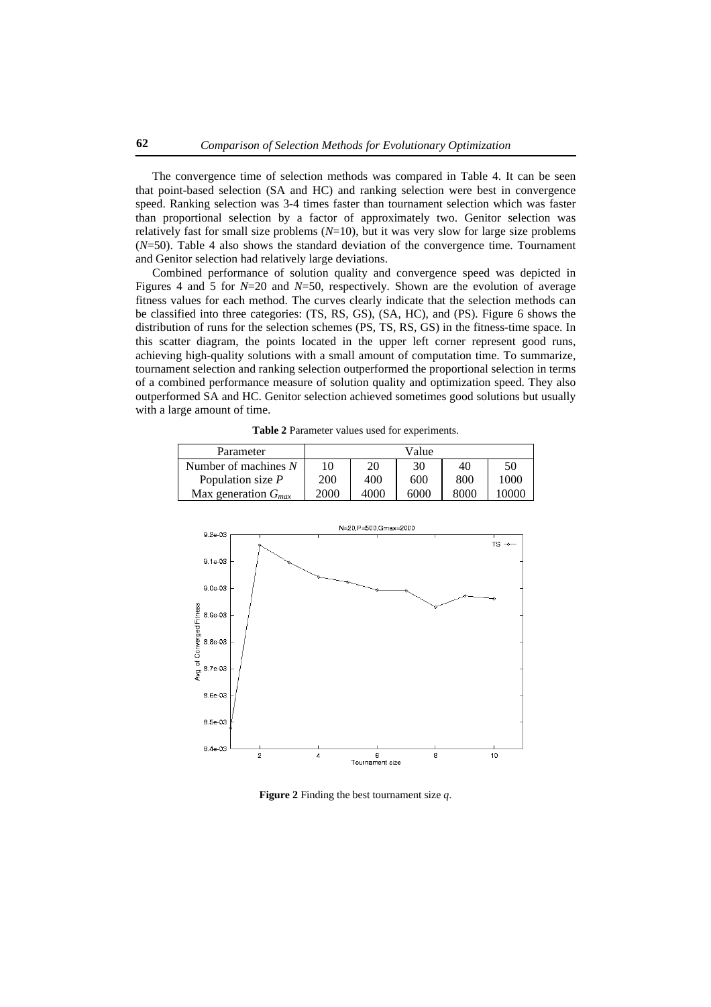The convergence time of selection methods was compared in Table 4. It can be seen that point-based selection (SA and HC) and ranking selection were best in convergence speed. Ranking selection was 3-4 times faster than tournament selection which was faster than proportional selection by a factor of approximately two. Genitor selection was relatively fast for small size problems (*N*=10), but it was very slow for large size problems (*N*=50). Table 4 also shows the standard deviation of the convergence time. Tournament and Genitor selection had relatively large deviations.

Combined performance of solution quality and convergence speed was depicted in Figures 4 and 5 for *N*=20 and *N*=50, respectively. Shown are the evolution of average fitness values for each method. The curves clearly indicate that the selection methods can be classified into three categories: (TS, RS, GS), (SA, HC), and (PS). Figure 6 shows the distribution of runs for the selection schemes (PS, TS, RS, GS) in the fitness-time space. In this scatter diagram, the points located in the upper left corner represent good runs, achieving high-quality solutions with a small amount of computation time. To summarize, tournament selection and ranking selection outperformed the proportional selection in terms of a combined performance measure of solution quality and optimization speed. They also outperformed SA and HC. Genitor selection achieved sometimes good solutions but usually with a large amount of time.

**Table 2** Parameter values used for experiments.

| Parameter                |            |      | Value |      |       |
|--------------------------|------------|------|-------|------|-------|
| Number of machines $N$   | 10         | 20   | 30    | 40   | 50    |
| Population size $P$      | <b>200</b> | 400  | 600   | 800  | 1000  |
| Max generation $G_{max}$ | 2000       | 4000 | 6000  | 8000 | 10000 |



**Figure 2** Finding the best tournament size *q*.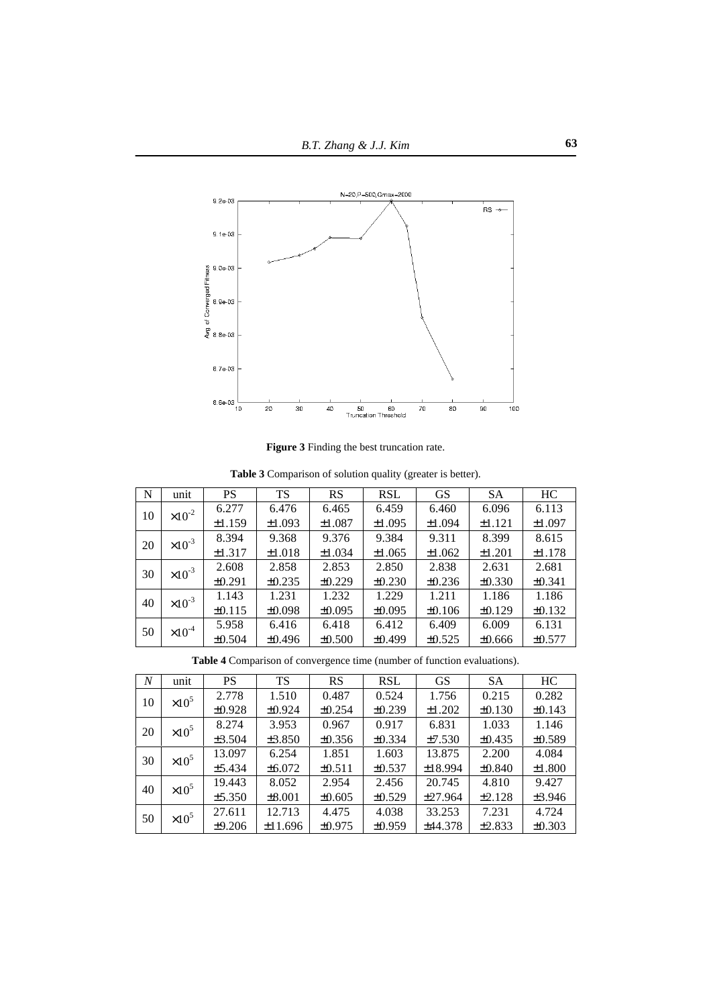

**Figure 3** Finding the best truncation rate.

| N  | unit             | PS          | <b>TS</b>   | RS          | <b>RSL</b>  | <b>GS</b>   | <b>SA</b>   | HC          |
|----|------------------|-------------|-------------|-------------|-------------|-------------|-------------|-------------|
| 10 | $\times 10^{-2}$ | 6.277       | 6.476       | 6.465       | 6.459       | 6.460       | 6.096       | 6.113       |
|    |                  | ±1.159      | ±1.093      | ±1.087      | ±1.095      | ±1.094      | ±1.121      | ±1.097      |
| 20 | $\times 10^{-3}$ | 8.394       | 9.368       | 9.376       | 9.384       | 9.311       | 8.399       | 8.615       |
|    |                  | $\pm 1.317$ | ±1.018      | $\pm 1.034$ | ±1.065      | ±1.062      | $\pm 1.201$ | ±1.178      |
| 30 | $\times 10^{-3}$ | 2.608       | 2.858       | 2.853       | 2.850       | 2.838       | 2.631       | 2.681       |
|    |                  | ±0.291      | $\pm 0.235$ | $\pm 0.229$ | $\pm 0.230$ | $\pm 0.236$ | $\pm 0.330$ | ±0.341      |
| 40 | $\times 10^{-3}$ | 1.143       | 1.231       | 1.232       | 1.229       | 1.211       | 1.186       | 1.186       |
|    |                  | $\pm 0.115$ | $\pm 0.098$ | ±0.095      | ±0.095      | $\pm 0.106$ | ±0.129      | $\pm 0.132$ |
| 50 | $\times 10^{-4}$ | 5.958       | 6.416       | 6.418       | 6.412       | 6.409       | 6.009       | 6.131       |
|    |                  | ±0.504      | ±0.496      | ±0.500      | ±0.499      | ±0.525      | $\pm 0.666$ | ±0.577      |

**Table 4** Comparison of convergence time (number of function evaluations).

| $\boldsymbol{N}$    | unit          | PS          | <b>TS</b>   | RS          | <b>RSL</b>  | <b>GS</b> | <b>SA</b>   | HC          |
|---------------------|---------------|-------------|-------------|-------------|-------------|-----------|-------------|-------------|
| 10                  | $\times 10^5$ | 2.778       | 1.510       | 0.487       | 0.524       | 1.756     | 0.215       | 0.282       |
|                     |               | $\pm 0.928$ | $\pm 0.924$ | $\pm 0.254$ | $\pm 0.239$ | ±1.202    | $\pm 0.130$ | $\pm 0.143$ |
| 20                  | $\times 10^5$ | 8.274       | 3.953       | 0.967       | 0.917       | 6.831     | 1.033       | 1.146       |
|                     |               | ±3.504      | $\pm 3.850$ | $\pm 0.356$ | $\pm 0.334$ | ±7.530    | $\pm 0.435$ | $\pm 0.589$ |
| $\times 10^5$<br>30 |               | 13.097      | 6.254       | 1.851       | 1.603       | 13.875    | 2.200       | 4.084       |
|                     |               | ±5.434      | $\pm 6.072$ | $\pm 0.511$ | $\pm 0.537$ | ±18.994   | $\pm 0.840$ | $\pm 1.800$ |
| 40                  | $\times 10^5$ | 19.443      | 8.052       | 2.954       | 2.456       | 20.745    | 4.810       | 9.427       |
|                     |               | $\pm$ 5.350 | $\pm 8.001$ | $\pm 0.605$ | $\pm 0.529$ | ±27.964   | ±2.128      | ±3.946      |
| 50                  | $\times 10^5$ | 27.611      | 12.713      | 4.475       | 4.038       | 33.253    | 7.231       | 4.724       |
|                     |               | ±9.206      | ±11.696     | ±0.975      | ±0.959      | ±44.378   | ±2.833      | $\pm 0.303$ |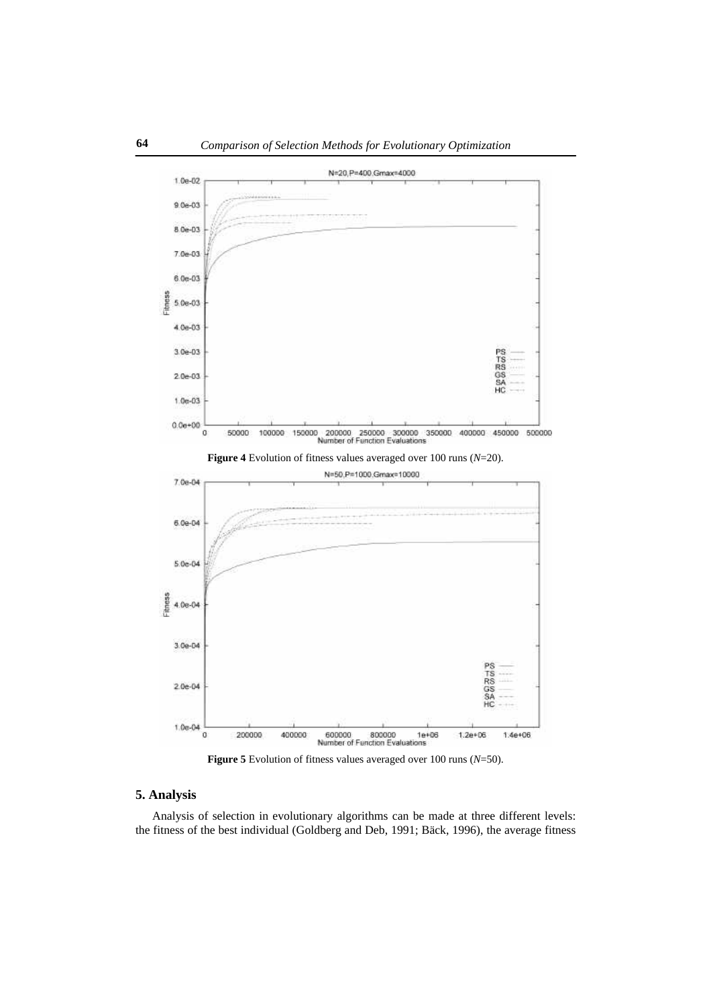

**Figure 5** Evolution of fitness values averaged over 100 runs (*N*=50).

## **5. Analysis**

Analysis of selection in evolutionary algorithms can be made at three different levels: the fitness of the best individual (Goldberg and Deb, 1991; Bäck, 1996), the average fitness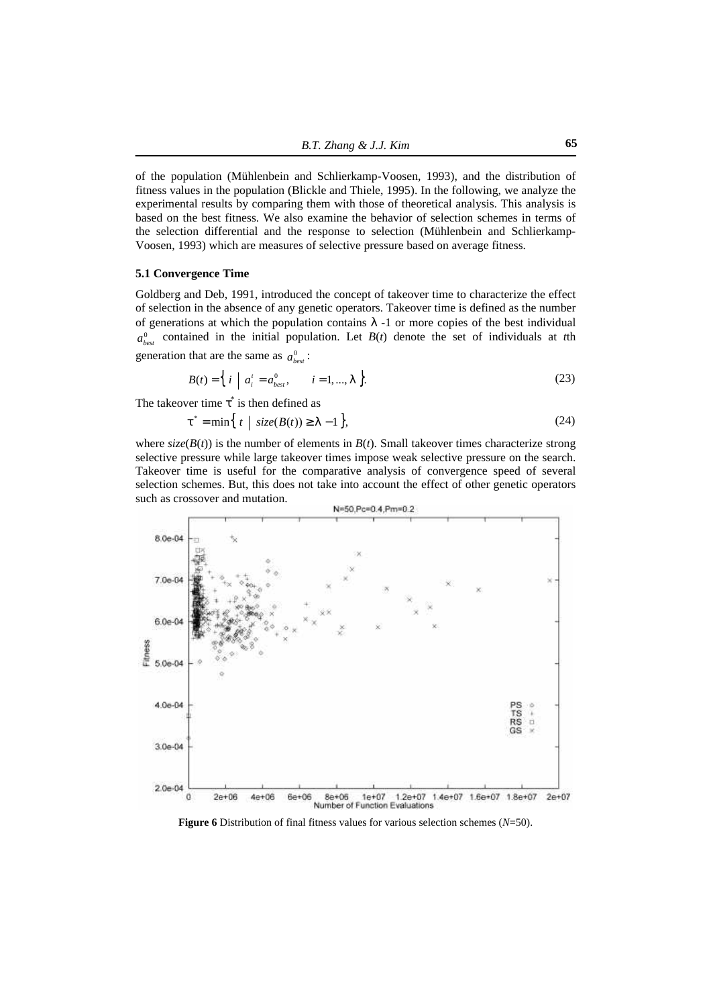of the population (Mühlenbein and Schlierkamp-Voosen, 1993), and the distribution of fitness values in the population (Blickle and Thiele, 1995). In the following, we analyze the experimental results by comparing them with those of theoretical analysis. This analysis is based on the best fitness. We also examine the behavior of selection schemes in terms of the selection differential and the response to selection (Mühlenbein and Schlierkamp-Voosen, 1993) which are measures of selective pressure based on average fitness.

#### **5.1 Convergence Time**

Goldberg and Deb, 1991, introduced the concept of takeover time to characterize the effect of selection in the absence of any genetic operators. Takeover time is defined as the number of generations at which the population contains *l* -1 or more copies of the best individual  $a_{best}^0$  contained in the initial population. Let  $B(t)$  denote the set of individuals at *t*th generation that are the same as  $a_{best}^0$ :

$$
B(t) = \left\{ i \mid a_i^t = a_{best}^0, \quad i = 1, ..., I \right\}.
$$
 (23)

The takeover time  $t^*$  is then defined as

$$
\mathbf{t}^* = \min\left\{ t \mid \text{size}(B(t)) \ge 1 - 1 \right\},\tag{24}
$$

where  $\text{size}(B(t))$  is the number of elements in  $B(t)$ . Small takeover times characterize strong selective pressure while large takeover times impose weak selective pressure on the search. Takeover time is useful for the comparative analysis of convergence speed of several selection schemes. But, this does not take into account the effect of other genetic operators such as crossover and mutation.



**Figure 6** Distribution of final fitness values for various selection schemes (*N*=50).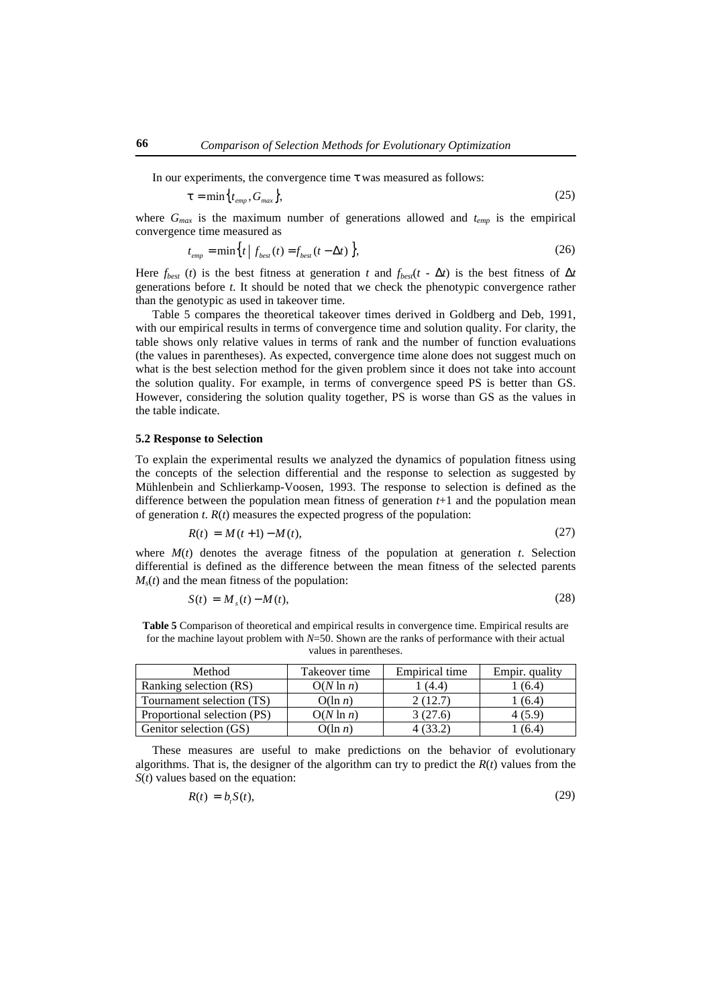In our experiments, the convergence time *t* was measured as follows:

$$
\boldsymbol{t} = \min\left\{t_{\text{emp}}, G_{\text{max}}\right\},\tag{25}
$$

where  $G_{max}$  is the maximum number of generations allowed and  $t_{enn}$  is the empirical convergence time measured as

$$
t_{emp} = \min\left\{t \mid f_{best}(t) = f_{best}(t - \Delta t)\right\},\tag{26}
$$

Here  $f_{best}$  (*t*) is the best fitness at generation *t* and  $f_{best}(t - \Delta t)$  is the best fitness of  $\Delta t$ generations before *t*. It should be noted that we check the phenotypic convergence rather than the genotypic as used in takeover time.

Table 5 compares the theoretical takeover times derived in Goldberg and Deb, 1991, with our empirical results in terms of convergence time and solution quality. For clarity, the table shows only relative values in terms of rank and the number of function evaluations (the values in parentheses). As expected, convergence time alone does not suggest much on what is the best selection method for the given problem since it does not take into account the solution quality. For example, in terms of convergence speed PS is better than GS. However, considering the solution quality together, PS is worse than GS as the values in the table indicate.

### **5.2 Response to Selection**

To explain the experimental results we analyzed the dynamics of population fitness using the concepts of the selection differential and the response to selection as suggested by Mühlenbein and Schlierkamp-Voosen, 1993. The response to selection is defined as the difference between the population mean fitness of generation *t*+1 and the population mean of generation  $t$ .  $R(t)$  measures the expected progress of the population:

$$
R(t) = M(t+1) - M(t),
$$
\n(27)

where  $M(t)$  denotes the average fitness of the population at generation  $t$ . Selection differential is defined as the difference between the mean fitness of the selected parents  $M<sub>s</sub>(t)$  and the mean fitness of the population:

$$
S(t) = Ms(t) - M(t),
$$
\n(28)

**Table 5** Comparison of theoretical and empirical results in convergence time. Empirical results are for the machine layout problem with *N*=50. Shown are the ranks of performance with their actual values in parentheses.

| Method                      | Takeover time | Empirical time | Empir. quality |
|-----------------------------|---------------|----------------|----------------|
| Ranking selection (RS)      | $O(N \ln n)$  | (4.4)          | (6.4)          |
| Tournament selection (TS)   | $O(\ln n)$    | 2(12.7)        | (6.4)          |
| Proportional selection (PS) | $O(N \ln n)$  | 3(27.6)        | 4 (5.9)        |
| Genitor selection (GS)      | $O(\ln n)$    |                | (6.4)          |

These measures are useful to make predictions on the behavior of evolutionary algorithms. That is, the designer of the algorithm can try to predict the  $R(t)$  values from the *S*(*t*) values based on the equation:

$$
R(t) = bi S(t),
$$

(29)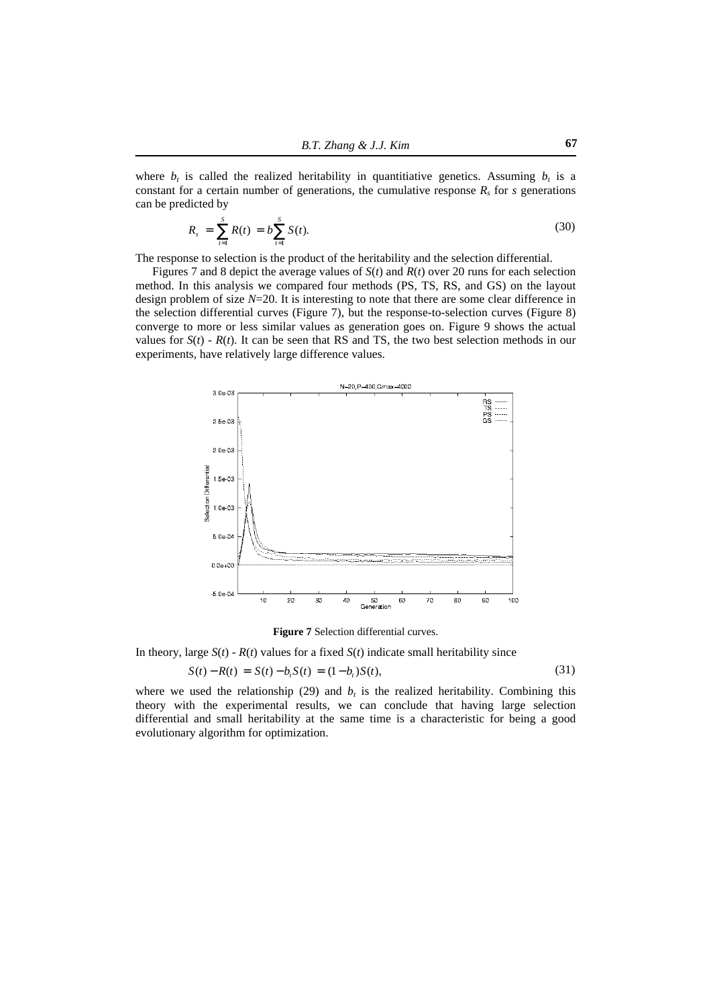where  $b_t$  is called the realized heritability in quantitiative genetics. Assuming  $b_t$  is a constant for a certain number of generations, the cumulative response  $R_s$  for  $s$  generations can be predicted by

$$
R_s = \sum_{t=1}^{S} R(t) = b \sum_{t=1}^{S} S(t). \tag{30}
$$

The response to selection is the product of the heritability and the selection differential.

Figures 7 and 8 depict the average values of *S*(*t*) and *R*(*t*) over 20 runs for each selection method. In this analysis we compared four methods (PS, TS, RS, and GS) on the layout design problem of size *N*=20. It is interesting to note that there are some clear difference in the selection differential curves (Figure 7), but the response-to-selection curves (Figure 8) converge to more or less similar values as generation goes on. Figure 9 shows the actual values for  $S(t)$  -  $R(t)$ . It can be seen that RS and TS, the two best selection methods in our experiments, have relatively large difference values.



**Figure 7** Selection differential curves.

In theory, large  $S(t)$  -  $R(t)$  values for a fixed  $S(t)$  indicate small heritability since

$$
S(t) - R(t) = S(t) - bt S(t) = (1 - bt) S(t),
$$
\n(31)

where we used the relationship  $(29)$  and  $b<sub>t</sub>$  is the realized heritability. Combining this theory with the experimental results, we can conclude that having large selection differential and small heritability at the same time is a characteristic for being a good evolutionary algorithm for optimization.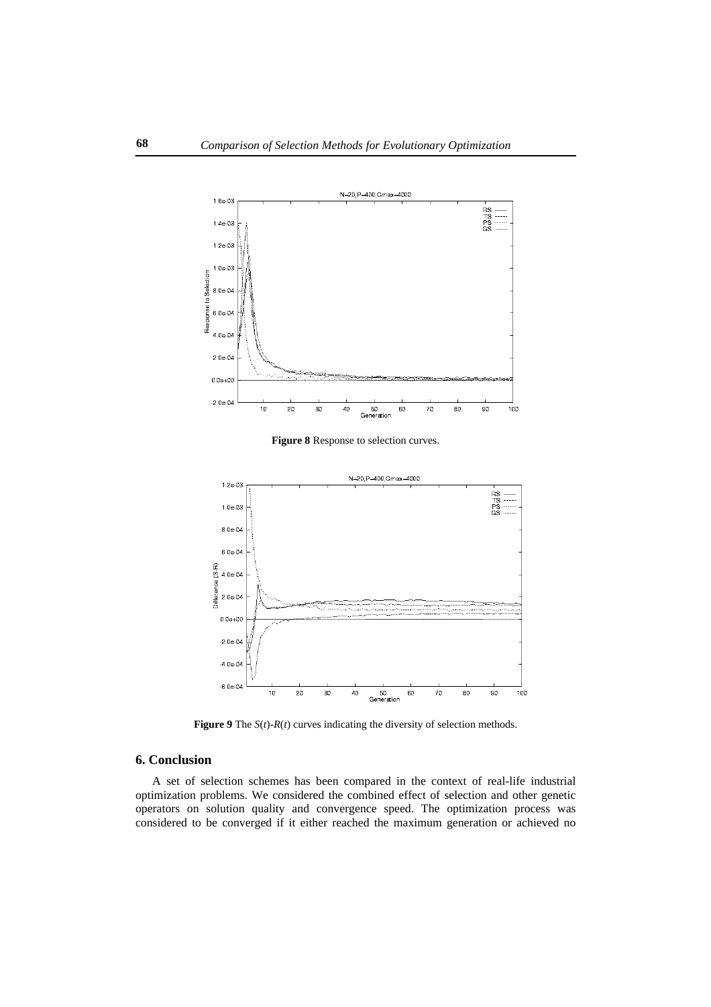

**Figure 8** Response to selection curves.



**Figure 9** The  $S(t)$ - $R(t)$  curves indicating the diversity of selection methods.

## **6. Conclusion**

A set of selection schemes has been compared in the context of real-life industrial optimization problems. We considered the combined effect of selection and other genetic operators on solution quality and convergence speed. The optimization process was considered to be converged if it either reached the maximum generation or achieved no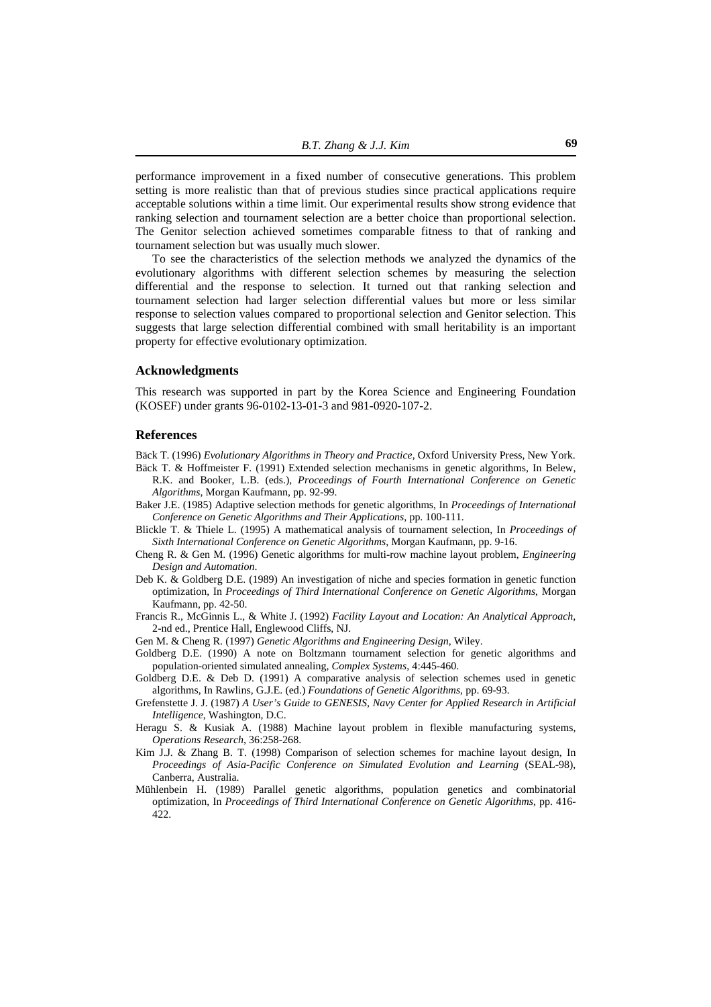performance improvement in a fixed number of consecutive generations. This problem setting is more realistic than that of previous studies since practical applications require acceptable solutions within a time limit. Our experimental results show strong evidence that ranking selection and tournament selection are a better choice than proportional selection. The Genitor selection achieved sometimes comparable fitness to that of ranking and tournament selection but was usually much slower.

To see the characteristics of the selection methods we analyzed the dynamics of the evolutionary algorithms with different selection schemes by measuring the selection differential and the response to selection. It turned out that ranking selection and tournament selection had larger selection differential values but more or less similar response to selection values compared to proportional selection and Genitor selection. This suggests that large selection differential combined with small heritability is an important property for effective evolutionary optimization.

#### **Acknowledgments**

This research was supported in part by the Korea Science and Engineering Foundation (KOSEF) under grants 96-0102-13-01-3 and 981-0920-107-2.

#### **References**

Bäck T. (1996) *Evolutionary Algorithms in Theory and Practice*, Oxford University Press, New York.

- Bäck T. & Hoffmeister F. (1991) Extended selection mechanisms in genetic algorithms, In Belew, R.K. and Booker, L.B. (eds.), *Proceedings of Fourth International Conference on Genetic Algorithms*, Morgan Kaufmann, pp. 92-99.
- Baker J.E. (1985) Adaptive selection methods for genetic algorithms, In *Proceedings of International Conference on Genetic Algorithms and Their Applications*, pp. 100-111.
- Blickle T. & Thiele L. (1995) A mathematical analysis of tournament selection, In *Proceedings of Sixth International Conference on Genetic Algorithms*, Morgan Kaufmann, pp. 9-16.
- Cheng R. & Gen M. (1996) Genetic algorithms for multi-row machine layout problem, *Engineering Design and Automation*.
- Deb K. & Goldberg D.E. (1989) An investigation of niche and species formation in genetic function optimization, In *Proceedings of Third International Conference on Genetic Algorithms*, Morgan Kaufmann, pp. 42-50.
- Francis R., McGinnis L., & White J. (1992) *Facility Layout and Location: An Analytical Approach*, 2-nd ed., Prentice Hall, Englewood Cliffs, NJ.
- Gen M. & Cheng R. (1997) *Genetic Algorithms and Engineering Design*, Wiley.
- Goldberg D.E. (1990) A note on Boltzmann tournament selection for genetic algorithms and population-oriented simulated annealing, *Complex Systems*, 4:445-460.
- Goldberg D.E. & Deb D. (1991) A comparative analysis of selection schemes used in genetic algorithms, In Rawlins, G.J.E. (ed.) *Foundations of Genetic Algorithms*, pp. 69-93.
- Grefenstette J. J. (1987) *A User's Guide to GENESIS, Navy Center for Applied Research in Artificial Intelligence*, Washington, D.C.
- Heragu S. & Kusiak A. (1988) Machine layout problem in flexible manufacturing systems, *Operations Research*, 36:258-268.
- Kim J.J. & Zhang B. T. (1998) Comparison of selection schemes for machine layout design, In Proceedings of Asia-Pacific Conference on Simulated Evolution and Learning (SEAL-98), Canberra, Australia.
- Mühlenbein H. (1989) Parallel genetic algorithms, population genetics and combinatorial optimization, In *Proceedings of Third International Conference on Genetic Algorithms*, pp. 416- 422.